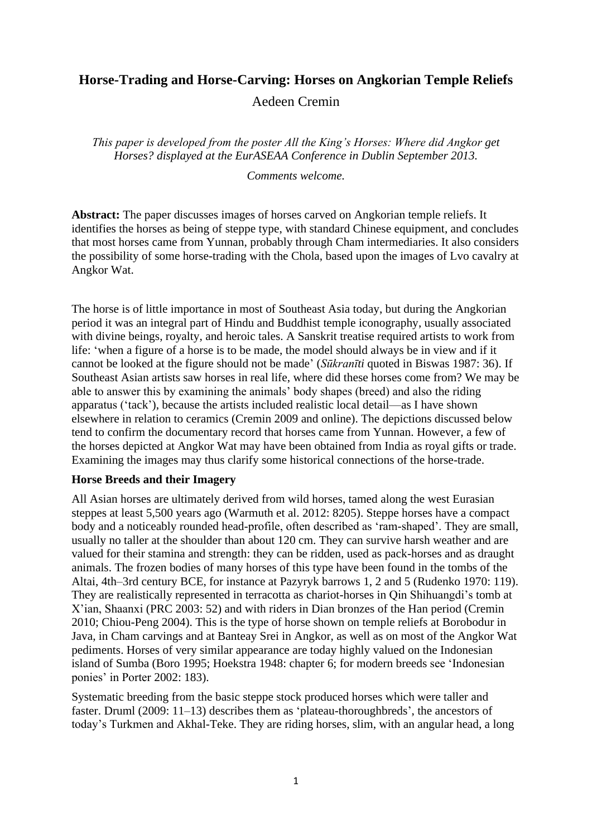# **Horse-Trading and Horse-Carving: Horses on Angkorian Temple Reliefs** Aedeen Cremin

*This paper is developed from the poster All the King's Horses: Where did Angkor get Horses? displayed at the EurASEAA Conference in Dublin September 2013.*

*Comments welcome.*

**Abstract:** The paper discusses images of horses carved on Angkorian temple reliefs. It identifies the horses as being of steppe type, with standard Chinese equipment, and concludes that most horses came from Yunnan, probably through Cham intermediaries. It also considers the possibility of some horse-trading with the Chola, based upon the images of Lvo cavalry at Angkor Wat.

The horse is of little importance in most of Southeast Asia today, but during the Angkorian period it was an integral part of Hindu and Buddhist temple iconography, usually associated with divine beings, royalty, and heroic tales. A Sanskrit treatise required artists to work from life: 'when a figure of a horse is to be made, the model should always be in view and if it cannot be looked at the figure should not be made' (*Sūkranīti* quoted in Biswas 1987: 36). If Southeast Asian artists saw horses in real life, where did these horses come from? We may be able to answer this by examining the animals' body shapes (breed) and also the riding apparatus ('tack'), because the artists included realistic local detail—as I have shown elsewhere in relation to ceramics (Cremin 2009 and online). The depictions discussed below tend to confirm the documentary record that horses came from Yunnan. However, a few of the horses depicted at Angkor Wat may have been obtained from India as royal gifts or trade. Examining the images may thus clarify some historical connections of the horse-trade.

# **Horse Breeds and their Imagery**

All Asian horses are ultimately derived from wild horses, tamed along the west Eurasian steppes at least 5,500 years ago (Warmuth et al. 2012: 8205). Steppe horses have a compact body and a noticeably rounded head-profile, often described as 'ram-shaped'. They are small, usually no taller at the shoulder than about 120 cm. They can survive harsh weather and are valued for their stamina and strength: they can be ridden, used as pack-horses and as draught animals. The frozen bodies of many horses of this type have been found in the tombs of the Altai, 4th–3rd century BCE, for instance at Pazyryk barrows 1, 2 and 5 (Rudenko 1970: 119). They are realistically represented in terracotta as chariot-horses in Qin Shihuangdi's tomb at X'ian, Shaanxi (PRC 2003: 52) and with riders in Dian bronzes of the Han period (Cremin 2010; Chiou-Peng 2004). This is the type of horse shown on temple reliefs at Borobodur in Java, in Cham carvings and at Banteay Srei in Angkor, as well as on most of the Angkor Wat pediments. Horses of very similar appearance are today highly valued on the Indonesian island of Sumba (Boro 1995; Hoekstra 1948: chapter 6; for modern breeds see 'Indonesian ponies' in Porter 2002: 183).

Systematic breeding from the basic steppe stock produced horses which were taller and faster. Druml (2009: 11–13) describes them as 'plateau-thoroughbreds', the ancestors of today's Turkmen and Akhal-Teke. They are riding horses, slim, with an angular head, a long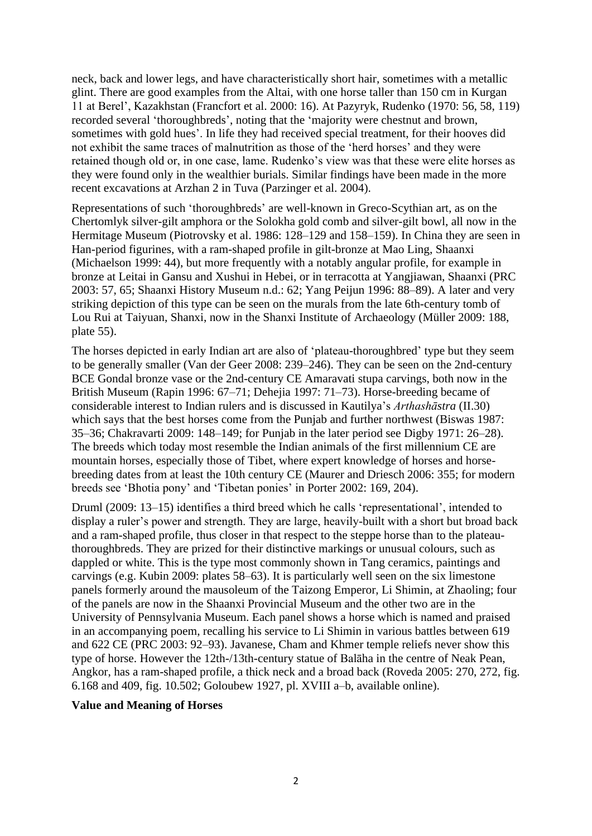neck, back and lower legs, and have characteristically short hair, sometimes with a metallic glint. There are good examples from the Altai, with one horse taller than 150 cm in Kurgan 11 at Berel', Kazakhstan (Francfort et al. 2000: 16). At Pazyryk, Rudenko (1970: 56, 58, 119) recorded several 'thoroughbreds', noting that the 'majority were chestnut and brown, sometimes with gold hues'. In life they had received special treatment, for their hooves did not exhibit the same traces of malnutrition as those of the 'herd horses' and they were retained though old or, in one case, lame. Rudenko's view was that these were elite horses as they were found only in the wealthier burials. Similar findings have been made in the more recent excavations at Arzhan 2 in Tuva (Parzinger et al. 2004).

Representations of such 'thoroughbreds' are well-known in Greco-Scythian art, as on the Chertomlyk silver-gilt amphora or the Solokha gold comb and silver-gilt bowl, all now in the Hermitage Museum (Piotrovsky et al. 1986: 128–129 and 158–159). In China they are seen in Han-period figurines, with a ram-shaped profile in gilt-bronze at Mao Ling, Shaanxi (Michaelson 1999: 44), but more frequently with a notably angular profile, for example in bronze at Leitai in Gansu and Xushui in Hebei, or in terracotta at Yangjiawan, Shaanxi (PRC 2003: 57, 65; Shaanxi History Museum n.d.: 62; Yang Peijun 1996: 88–89). A later and very striking depiction of this type can be seen on the murals from the late 6th-century tomb of Lou Rui at Taiyuan, Shanxi, now in the Shanxi Institute of Archaeology (Müller 2009: 188, plate 55).

The horses depicted in early Indian art are also of 'plateau-thoroughbred' type but they seem to be generally smaller (Van der Geer 2008: 239–246). They can be seen on the 2nd-century BCE Gondal bronze vase or the 2nd-century CE Amaravati stupa carvings, both now in the British Museum (Rapin 1996: 67–71; Dehejia 1997: 71–73). Horse-breeding became of considerable interest to Indian rulers and is discussed in Kautilya's *Arthashāstra* (II.30) which says that the best horses come from the Punjab and further northwest (Biswas 1987: 35–36; Chakravarti 2009: 148–149; for Punjab in the later period see Digby 1971: 26–28). The breeds which today most resemble the Indian animals of the first millennium CE are mountain horses, especially those of Tibet, where expert knowledge of horses and horsebreeding dates from at least the 10th century CE (Maurer and Driesch 2006: 355; for modern breeds see 'Bhotia pony' and 'Tibetan ponies' in Porter 2002: 169, 204).

Druml (2009: 13–15) identifies a third breed which he calls 'representational', intended to display a ruler's power and strength. They are large, heavily-built with a short but broad back and a ram-shaped profile, thus closer in that respect to the steppe horse than to the plateauthoroughbreds. They are prized for their distinctive markings or unusual colours, such as dappled or white. This is the type most commonly shown in Tang ceramics, paintings and carvings (e.g. Kubin 2009: plates 58–63). It is particularly well seen on the six limestone panels formerly around the mausoleum of the Taizong Emperor, Li Shimin, at Zhaoling; four of the panels are now in the Shaanxi Provincial Museum and the other two are in the University of Pennsylvania Museum. Each panel shows a horse which is named and praised in an accompanying poem, recalling his service to Li Shimin in various battles between 619 and 622 CE (PRC 2003: 92–93). Javanese, Cham and Khmer temple reliefs never show this type of horse. However the 12th-/13th-century statue of Balāha in the centre of Neak Pean, Angkor, has a ram-shaped profile, a thick neck and a broad back (Roveda 2005: 270, 272, fig. 6.168 and 409, fig. 10.502; Goloubew 1927, pl. XVIII a–b, available online).

#### **Value and Meaning of Horses**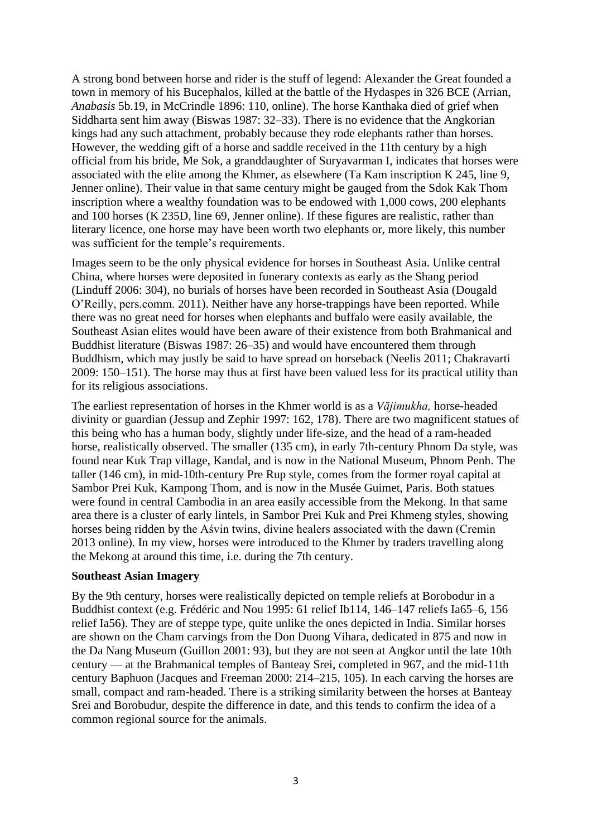A strong bond between horse and rider is the stuff of legend: Alexander the Great founded a town in memory of his Bucephalos, killed at the battle of the Hydaspes in 326 BCE (Arrian, *Anabasis* 5b.19, in McCrindle 1896: 110, online). The horse Kanthaka died of grief when Siddharta sent him away (Biswas 1987: 32–33). There is no evidence that the Angkorian kings had any such attachment, probably because they rode elephants rather than horses. However, the wedding gift of a horse and saddle received in the 11th century by a high official from his bride, Me Sok, a granddaughter of Suryavarman I, indicates that horses were associated with the elite among the Khmer, as elsewhere (Ta Kam inscription K 245, line 9, Jenner online). Their value in that same century might be gauged from the Sdok Kak Thom inscription where a wealthy foundation was to be endowed with 1,000 cows, 200 elephants and 100 horses (K 235D, line 69, Jenner online). If these figures are realistic, rather than literary licence, one horse may have been worth two elephants or, more likely, this number was sufficient for the temple's requirements.

Images seem to be the only physical evidence for horses in Southeast Asia. Unlike central China, where horses were deposited in funerary contexts as early as the Shang period (Linduff 2006: 304), no burials of horses have been recorded in Southeast Asia (Dougald O'Reilly, pers.comm. 2011). Neither have any horse-trappings have been reported. While there was no great need for horses when elephants and buffalo were easily available, the Southeast Asian elites would have been aware of their existence from both Brahmanical and Buddhist literature (Biswas 1987: 26–35) and would have encountered them through Buddhism, which may justly be said to have spread on horseback (Neelis 2011; Chakravarti 2009: 150–151). The horse may thus at first have been valued less for its practical utility than for its religious associations.

The earliest representation of horses in the Khmer world is as a *Vājimukha,* horse-headed divinity or guardian (Jessup and Zephir 1997: 162, 178). There are two magnificent statues of this being who has a human body, slightly under life-size, and the head of a ram-headed horse, realistically observed. The smaller (135 cm), in early 7th-century Phnom Da style, was found near Kuk Trap village, Kandal, and is now in the National Museum, Phnom Penh. The taller (146 cm), in mid-10th-century Pre Rup style, comes from the former royal capital at Sambor Prei Kuk, Kampong Thom, and is now in the Musée Guimet, Paris. Both statues were found in central Cambodia in an area easily accessible from the Mekong. In that same area there is a cluster of early lintels, in Sambor Prei Kuk and Prei Khmeng styles, showing horses being ridden by the Aśvin twins, divine healers associated with the dawn (Cremin 2013 online). In my view, horses were introduced to the Khmer by traders travelling along the Mekong at around this time, i.e. during the 7th century.

#### **Southeast Asian Imagery**

By the 9th century, horses were realistically depicted on temple reliefs at Borobodur in a Buddhist context (e.g. Frédéric and Nou 1995: 61 relief Ib114, 146–147 reliefs Ia65–6, 156 relief Ia56). They are of steppe type, quite unlike the ones depicted in India. Similar horses are shown on the Cham carvings from the Don Duong Vihara, dedicated in 875 and now in the Da Nang Museum (Guillon 2001: 93), but they are not seen at Angkor until the late 10th century — at the Brahmanical temples of Banteay Srei, completed in 967, and the mid-11th century Baphuon (Jacques and Freeman 2000: 214–215, 105). In each carving the horses are small, compact and ram-headed. There is a striking similarity between the horses at Banteay Srei and Borobudur, despite the difference in date, and this tends to confirm the idea of a common regional source for the animals.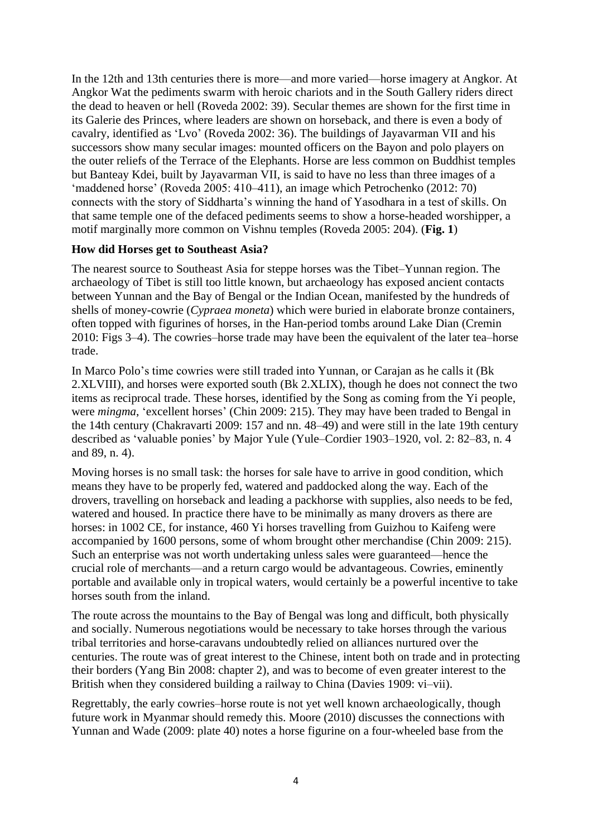In the 12th and 13th centuries there is more—and more varied—horse imagery at Angkor. At Angkor Wat the pediments swarm with heroic chariots and in the South Gallery riders direct the dead to heaven or hell (Roveda 2002: 39). Secular themes are shown for the first time in its Galerie des Princes, where leaders are shown on horseback, and there is even a body of cavalry, identified as 'Lvo' (Roveda 2002: 36). The buildings of Jayavarman VII and his successors show many secular images: mounted officers on the Bayon and polo players on the outer reliefs of the Terrace of the Elephants. Horse are less common on Buddhist temples but Banteay Kdei, built by Jayavarman VII, is said to have no less than three images of a 'maddened horse' (Roveda 2005: 410–411), an image which Petrochenko (2012: 70) connects with the story of Siddharta's winning the hand of Yasodhara in a test of skills. On that same temple one of the defaced pediments seems to show a horse-headed worshipper, a motif marginally more common on Vishnu temples (Roveda 2005: 204). (**Fig. 1**)

## **How did Horses get to Southeast Asia?**

The nearest source to Southeast Asia for steppe horses was the Tibet–Yunnan region. The archaeology of Tibet is still too little known, but archaeology has exposed ancient contacts between Yunnan and the Bay of Bengal or the Indian Ocean, manifested by the hundreds of shells of money-cowrie (*Cypraea moneta*) which were buried in elaborate bronze containers, often topped with figurines of horses, in the Han-period tombs around Lake Dian (Cremin 2010: Figs 3–4). The cowries–horse trade may have been the equivalent of the later tea–horse trade.

In Marco Polo's time cowries were still traded into Yunnan, or Carajan as he calls it (Bk 2.XLVIII), and horses were exported south (Bk 2.XLIX), though he does not connect the two items as reciprocal trade. These horses, identified by the Song as coming from the Yi people, were *mingma*, 'excellent horses' (Chin 2009: 215). They may have been traded to Bengal in the 14th century (Chakravarti 2009: 157 and nn. 48–49) and were still in the late 19th century described as 'valuable ponies' by Major Yule (Yule–Cordier 1903–1920, vol. 2: 82–83, n. 4 and 89, n. 4).

Moving horses is no small task: the horses for sale have to arrive in good condition, which means they have to be properly fed, watered and paddocked along the way. Each of the drovers, travelling on horseback and leading a packhorse with supplies, also needs to be fed, watered and housed. In practice there have to be minimally as many drovers as there are horses: in 1002 CE, for instance, 460 Yi horses travelling from Guizhou to Kaifeng were accompanied by 1600 persons, some of whom brought other merchandise (Chin 2009: 215). Such an enterprise was not worth undertaking unless sales were guaranteed—hence the crucial role of merchants—and a return cargo would be advantageous. Cowries, eminently portable and available only in tropical waters, would certainly be a powerful incentive to take horses south from the inland.

The route across the mountains to the Bay of Bengal was long and difficult, both physically and socially. Numerous negotiations would be necessary to take horses through the various tribal territories and horse-caravans undoubtedly relied on alliances nurtured over the centuries. The route was of great interest to the Chinese, intent both on trade and in protecting their borders (Yang Bin 2008: chapter 2), and was to become of even greater interest to the British when they considered building a railway to China (Davies 1909: vi–vii).

Regrettably, the early cowries–horse route is not yet well known archaeologically, though future work in Myanmar should remedy this. Moore (2010) discusses the connections with Yunnan and Wade (2009: plate 40) notes a horse figurine on a four-wheeled base from the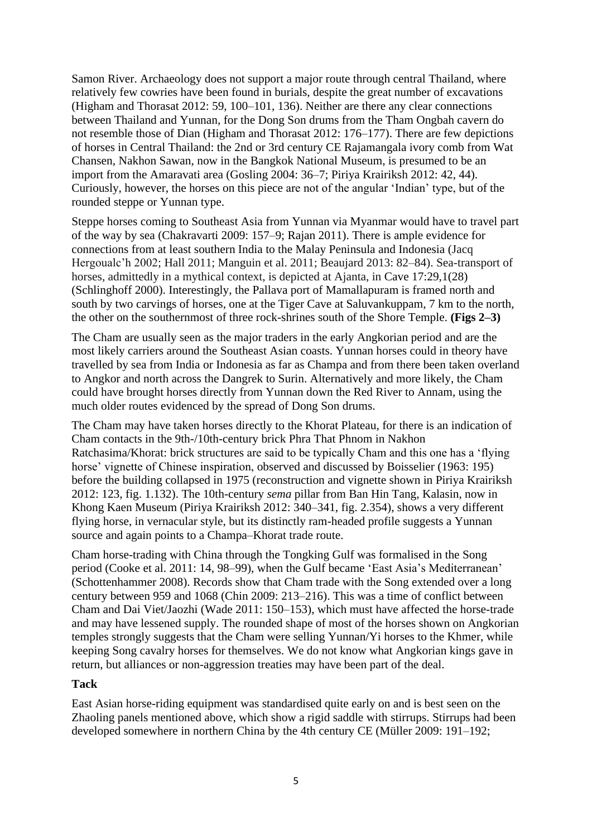Samon River. Archaeology does not support a major route through central Thailand, where relatively few cowries have been found in burials, despite the great number of excavations (Higham and Thorasat 2012: 59, 100–101, 136). Neither are there any clear connections between Thailand and Yunnan, for the Dong Son drums from the Tham Ongbah cavern do not resemble those of Dian (Higham and Thorasat 2012: 176–177). There are few depictions of horses in Central Thailand: the 2nd or 3rd century CE Rajamangala ivory comb from Wat Chansen, Nakhon Sawan, now in the Bangkok National Museum, is presumed to be an import from the Amaravati area (Gosling 2004: 36–7; Piriya Krairiksh 2012: 42, 44). Curiously, however, the horses on this piece are not of the angular 'Indian' type, but of the rounded steppe or Yunnan type.

Steppe horses coming to Southeast Asia from Yunnan via Myanmar would have to travel part of the way by sea (Chakravarti 2009: 157–9; Rajan 2011). There is ample evidence for connections from at least southern India to the Malay Peninsula and Indonesia (Jacq Hergoualc'h 2002; Hall 2011; Manguin et al. 2011; Beaujard 2013: 82–84). Sea-transport of horses, admittedly in a mythical context, is depicted at Ajanta, in Cave 17:29,1(28) (Schlinghoff 2000). Interestingly, the Pallava port of Mamallapuram is framed north and south by two carvings of horses, one at the Tiger Cave at Saluvankuppam, 7 km to the north, the other on the southernmost of three rock-shrines south of the Shore Temple. **(Figs 2–3)**

The Cham are usually seen as the major traders in the early Angkorian period and are the most likely carriers around the Southeast Asian coasts. Yunnan horses could in theory have travelled by sea from India or Indonesia as far as Champa and from there been taken overland to Angkor and north across the Dangrek to Surin. Alternatively and more likely, the Cham could have brought horses directly from Yunnan down the Red River to Annam, using the much older routes evidenced by the spread of Dong Son drums.

The Cham may have taken horses directly to the Khorat Plateau, for there is an indication of Cham contacts in the 9th-/10th-century brick Phra That Phnom in Nakhon Ratchasima/Khorat: brick structures are said to be typically Cham and this one has a 'flying horse' vignette of Chinese inspiration, observed and discussed by Boisselier (1963: 195) before the building collapsed in 1975 (reconstruction and vignette shown in Piriya Krairiksh 2012: 123, fig. 1.132). The 10th-century *sema* pillar from Ban Hin Tang, Kalasin, now in Khong Kaen Museum (Piriya Krairiksh 2012: 340–341, fig. 2.354), shows a very different flying horse, in vernacular style, but its distinctly ram-headed profile suggests a Yunnan source and again points to a Champa–Khorat trade route.

Cham horse-trading with China through the Tongking Gulf was formalised in the Song period (Cooke et al. 2011: 14, 98–99), when the Gulf became 'East Asia's Mediterranean' (Schottenhammer 2008). Records show that Cham trade with the Song extended over a long century between 959 and 1068 (Chin 2009: 213–216). This was a time of conflict between Cham and Dai Viet/Jaozhi (Wade 2011: 150–153), which must have affected the horse-trade and may have lessened supply. The rounded shape of most of the horses shown on Angkorian temples strongly suggests that the Cham were selling Yunnan/Yi horses to the Khmer, while keeping Song cavalry horses for themselves. We do not know what Angkorian kings gave in return, but alliances or non-aggression treaties may have been part of the deal.

#### **Tack**

East Asian horse-riding equipment was standardised quite early on and is best seen on the Zhaoling panels mentioned above, which show a rigid saddle with stirrups. Stirrups had been developed somewhere in northern China by the 4th century CE (Müller 2009: 191–192;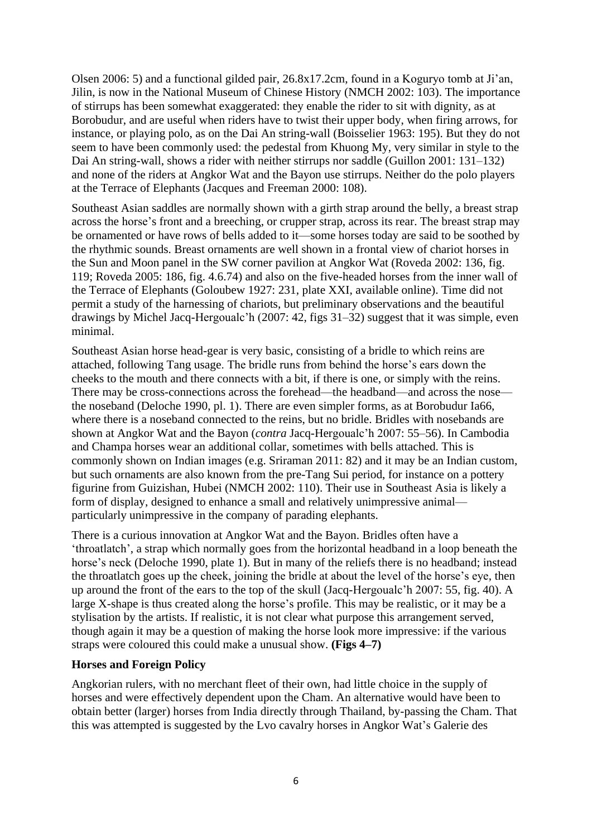Olsen 2006: 5) and a functional gilded pair, 26.8x17.2cm, found in a Koguryo tomb at Ji'an, Jilin, is now in the National Museum of Chinese History (NMCH 2002: 103). The importance of stirrups has been somewhat exaggerated: they enable the rider to sit with dignity, as at Borobudur, and are useful when riders have to twist their upper body, when firing arrows, for instance, or playing polo, as on the Dai An string-wall (Boisselier 1963: 195). But they do not seem to have been commonly used: the pedestal from Khuong My, very similar in style to the Dai An string-wall, shows a rider with neither stirrups nor saddle (Guillon 2001: 131–132) and none of the riders at Angkor Wat and the Bayon use stirrups. Neither do the polo players at the Terrace of Elephants (Jacques and Freeman 2000: 108).

Southeast Asian saddles are normally shown with a girth strap around the belly, a breast strap across the horse's front and a breeching, or crupper strap, across its rear. The breast strap may be ornamented or have rows of bells added to it—some horses today are said to be soothed by the rhythmic sounds. Breast ornaments are well shown in a frontal view of chariot horses in the Sun and Moon panel in the SW corner pavilion at Angkor Wat (Roveda 2002: 136, fig. 119; Roveda 2005: 186, fig. 4.6.74) and also on the five-headed horses from the inner wall of the Terrace of Elephants (Goloubew 1927: 231, plate XXI, available online). Time did not permit a study of the harnessing of chariots, but preliminary observations and the beautiful drawings by Michel Jacq-Hergoualc'h (2007: 42, figs 31–32) suggest that it was simple, even minimal.

Southeast Asian horse head-gear is very basic, consisting of a bridle to which reins are attached, following Tang usage. The bridle runs from behind the horse's ears down the cheeks to the mouth and there connects with a bit, if there is one, or simply with the reins. There may be cross-connections across the forehead—the headband—and across the nose the noseband (Deloche 1990, pl. 1). There are even simpler forms, as at Borobudur Ia66, where there is a noseband connected to the reins, but no bridle. Bridles with nosebands are shown at Angkor Wat and the Bayon (*contra* Jacq-Hergoualc'h 2007: 55–56). In Cambodia and Champa horses wear an additional collar, sometimes with bells attached. This is commonly shown on Indian images (e.g. Sriraman 2011: 82) and it may be an Indian custom, but such ornaments are also known from the pre-Tang Sui period, for instance on a pottery figurine from Guizishan, Hubei (NMCH 2002: 110). Their use in Southeast Asia is likely a form of display, designed to enhance a small and relatively unimpressive animal particularly unimpressive in the company of parading elephants.

There is a curious innovation at Angkor Wat and the Bayon. Bridles often have a 'throatlatch', a strap which normally goes from the horizontal headband in a loop beneath the horse's neck (Deloche 1990, plate 1). But in many of the reliefs there is no headband; instead the throatlatch goes up the cheek, joining the bridle at about the level of the horse's eye, then up around the front of the ears to the top of the skull (Jacq-Hergoualc'h 2007: 55, fig. 40). A large X-shape is thus created along the horse's profile. This may be realistic, or it may be a stylisation by the artists. If realistic, it is not clear what purpose this arrangement served, though again it may be a question of making the horse look more impressive: if the various straps were coloured this could make a unusual show. **(Figs 4–7)**

#### **Horses and Foreign Policy**

Angkorian rulers, with no merchant fleet of their own, had little choice in the supply of horses and were effectively dependent upon the Cham. An alternative would have been to obtain better (larger) horses from India directly through Thailand, by-passing the Cham. That this was attempted is suggested by the Lvo cavalry horses in Angkor Wat's Galerie des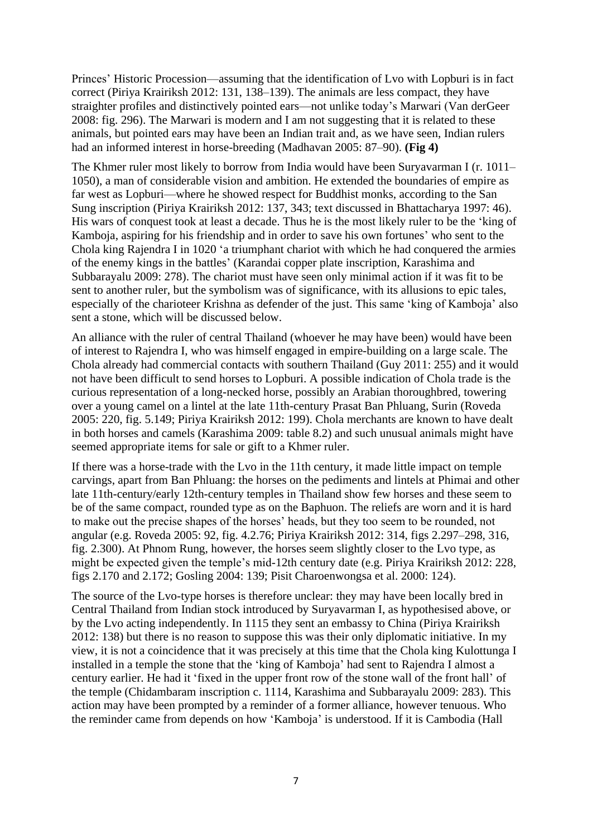Princes' Historic Procession—assuming that the identification of Lvo with Lopburi is in fact correct (Piriya Krairiksh 2012: 131, 138–139). The animals are less compact, they have straighter profiles and distinctively pointed ears—not unlike today's Marwari (Van derGeer 2008: fig. 296). The Marwari is modern and I am not suggesting that it is related to these animals, but pointed ears may have been an Indian trait and, as we have seen, Indian rulers had an informed interest in horse-breeding (Madhavan 2005: 87–90). **(Fig 4)**

The Khmer ruler most likely to borrow from India would have been Suryavarman I (r. 1011– 1050), a man of considerable vision and ambition. He extended the boundaries of empire as far west as Lopburi—where he showed respect for Buddhist monks, according to the San Sung inscription (Piriya Krairiksh 2012: 137, 343; text discussed in Bhattacharya 1997: 46). His wars of conquest took at least a decade. Thus he is the most likely ruler to be the 'king of Kamboja, aspiring for his friendship and in order to save his own fortunes' who sent to the Chola king Rajendra I in 1020 'a triumphant chariot with which he had conquered the armies of the enemy kings in the battles' (Karandai copper plate inscription, Karashima and Subbarayalu 2009: 278). The chariot must have seen only minimal action if it was fit to be sent to another ruler, but the symbolism was of significance, with its allusions to epic tales, especially of the charioteer Krishna as defender of the just. This same 'king of Kamboja' also sent a stone, which will be discussed below.

An alliance with the ruler of central Thailand (whoever he may have been) would have been of interest to Rajendra I, who was himself engaged in empire-building on a large scale. The Chola already had commercial contacts with southern Thailand (Guy 2011: 255) and it would not have been difficult to send horses to Lopburi. A possible indication of Chola trade is the curious representation of a long-necked horse, possibly an Arabian thoroughbred, towering over a young camel on a lintel at the late 11th-century Prasat Ban Phluang, Surin (Roveda 2005: 220, fig. 5.149; Piriya Krairiksh 2012: 199). Chola merchants are known to have dealt in both horses and camels (Karashima 2009: table 8.2) and such unusual animals might have seemed appropriate items for sale or gift to a Khmer ruler.

If there was a horse-trade with the Lvo in the 11th century, it made little impact on temple carvings, apart from Ban Phluang: the horses on the pediments and lintels at Phimai and other late 11th-century/early 12th-century temples in Thailand show few horses and these seem to be of the same compact, rounded type as on the Baphuon. The reliefs are worn and it is hard to make out the precise shapes of the horses' heads, but they too seem to be rounded, not angular (e.g. Roveda 2005: 92, fig. 4.2.76; Piriya Krairiksh 2012: 314, figs 2.297–298, 316, fig. 2.300). At Phnom Rung, however, the horses seem slightly closer to the Lvo type, as might be expected given the temple's mid-12th century date (e.g. Piriya Krairiksh 2012: 228, figs 2.170 and 2.172; Gosling 2004: 139; Pisit Charoenwongsa et al. 2000: 124).

The source of the Lvo-type horses is therefore unclear: they may have been locally bred in Central Thailand from Indian stock introduced by Suryavarman I, as hypothesised above, or by the Lvo acting independently. In 1115 they sent an embassy to China (Piriya Krairiksh 2012: 138) but there is no reason to suppose this was their only diplomatic initiative. In my view, it is not a coincidence that it was precisely at this time that the Chola king Kulottunga I installed in a temple the stone that the 'king of Kamboja' had sent to Rajendra I almost a century earlier. He had it 'fixed in the upper front row of the stone wall of the front hall' of the temple (Chidambaram inscription c. 1114, Karashima and Subbarayalu 2009: 283). This action may have been prompted by a reminder of a former alliance, however tenuous. Who the reminder came from depends on how 'Kamboja' is understood. If it is Cambodia (Hall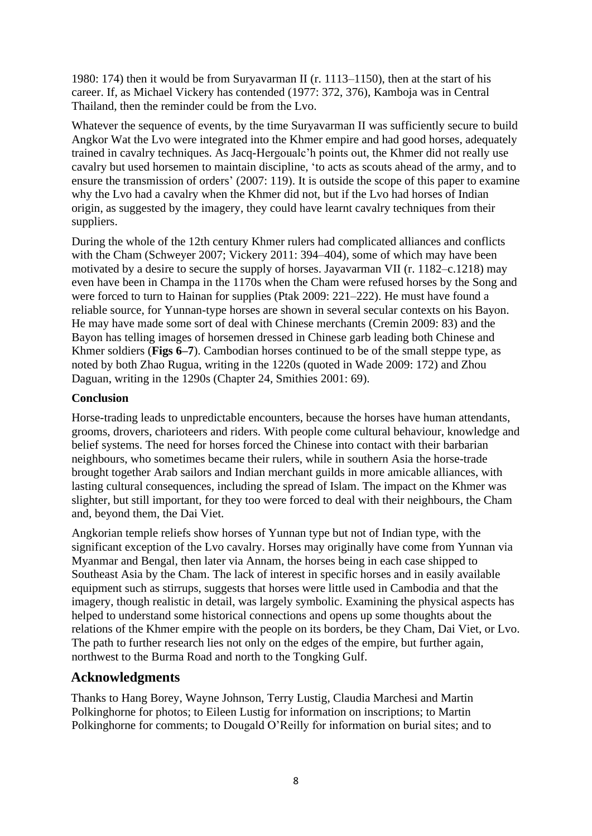1980: 174) then it would be from Suryavarman II (r. 1113–1150), then at the start of his career. If, as Michael Vickery has contended (1977: 372, 376), Kamboja was in Central Thailand, then the reminder could be from the Lvo.

Whatever the sequence of events, by the time Suryavarman II was sufficiently secure to build Angkor Wat the Lvo were integrated into the Khmer empire and had good horses, adequately trained in cavalry techniques. As Jacq-Hergoualc'h points out, the Khmer did not really use cavalry but used horsemen to maintain discipline, 'to acts as scouts ahead of the army, and to ensure the transmission of orders' (2007: 119). It is outside the scope of this paper to examine why the Lvo had a cavalry when the Khmer did not, but if the Lvo had horses of Indian origin, as suggested by the imagery, they could have learnt cavalry techniques from their suppliers.

During the whole of the 12th century Khmer rulers had complicated alliances and conflicts with the Cham (Schweyer 2007; Vickery 2011: 394–404), some of which may have been motivated by a desire to secure the supply of horses. Jayavarman VII (r. 1182–c.1218) may even have been in Champa in the 1170s when the Cham were refused horses by the Song and were forced to turn to Hainan for supplies (Ptak 2009: 221–222). He must have found a reliable source, for Yunnan-type horses are shown in several secular contexts on his Bayon. He may have made some sort of deal with Chinese merchants (Cremin 2009: 83) and the Bayon has telling images of horsemen dressed in Chinese garb leading both Chinese and Khmer soldiers (**Figs 6–7**). Cambodian horses continued to be of the small steppe type, as noted by both Zhao Rugua, writing in the 1220s (quoted in Wade 2009: 172) and Zhou Daguan, writing in the 1290s (Chapter 24, Smithies 2001: 69).

## **Conclusion**

Horse-trading leads to unpredictable encounters, because the horses have human attendants, grooms, drovers, charioteers and riders. With people come cultural behaviour, knowledge and belief systems. The need for horses forced the Chinese into contact with their barbarian neighbours, who sometimes became their rulers, while in southern Asia the horse-trade brought together Arab sailors and Indian merchant guilds in more amicable alliances, with lasting cultural consequences, including the spread of Islam. The impact on the Khmer was slighter, but still important, for they too were forced to deal with their neighbours, the Cham and, beyond them, the Dai Viet.

Angkorian temple reliefs show horses of Yunnan type but not of Indian type, with the significant exception of the Lvo cavalry. Horses may originally have come from Yunnan via Myanmar and Bengal, then later via Annam, the horses being in each case shipped to Southeast Asia by the Cham. The lack of interest in specific horses and in easily available equipment such as stirrups, suggests that horses were little used in Cambodia and that the imagery, though realistic in detail, was largely symbolic. Examining the physical aspects has helped to understand some historical connections and opens up some thoughts about the relations of the Khmer empire with the people on its borders, be they Cham, Dai Viet, or Lvo. The path to further research lies not only on the edges of the empire, but further again, northwest to the Burma Road and north to the Tongking Gulf.

# **Acknowledgments**

Thanks to Hang Borey, Wayne Johnson, Terry Lustig, Claudia Marchesi and Martin Polkinghorne for photos; to Eileen Lustig for information on inscriptions; to Martin Polkinghorne for comments; to Dougald O'Reilly for information on burial sites; and to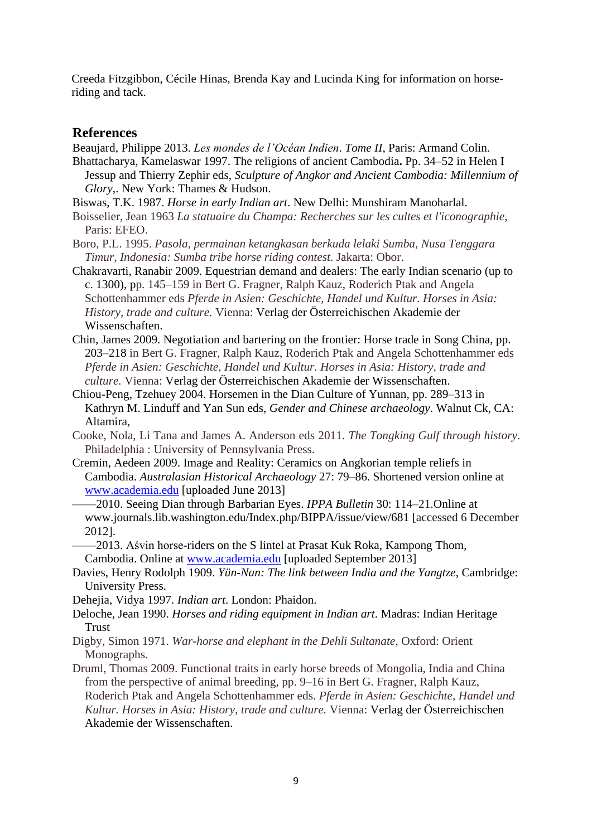Creeda Fitzgibbon, Cécile Hinas, Brenda Kay and Lucinda King for information on horseriding and tack.

#### **References**

Beaujard, Philippe 2013. *Les mondes de l'Océan Indien*. *Tome II*, Paris: Armand Colin.

- Bhattacharya, Kamelaswar 1997. The religions of ancient Cambodia**.** Pp. 34–52 in Helen I Jessup and Thierry Zephir eds, *Sculpture of Angkor and Ancient Cambodia: Millennium of Glory*,. New York: Thames & Hudson.
- Biswas, T.K. 1987. *Horse in early Indian art*. New Delhi: Munshiram Manoharlal.
- Boisselier, Jean 1963 *La statuaire du Champa: Recherches sur les cultes et l'iconographie*, Paris: EFEO.
- Boro, P.L. 1995. *Pasola, permainan ketangkasan berkuda lelaki Sumba, Nusa Tenggara Timur, Indonesia: Sumba tribe horse riding contest*. Jakarta: Obor.
- Chakravarti, Ranabir 2009. Equestrian demand and dealers: The early Indian scenario (up to c. 1300), pp. 145–159 in Bert G. Fragner, Ralph Kauz, Roderich Ptak and Angela Schottenhammer eds *Pferde in Asien: Geschichte, Handel und Kultur. Horses in Asia: History, trade and culture.* Vienna: Verlag der Österreichischen Akademie der Wissenschaften.
- Chin, James 2009. Negotiation and bartering on the frontier: Horse trade in Song China, pp. 203–218 in Bert G. Fragner, Ralph Kauz, Roderich Ptak and Angela Schottenhammer eds *Pferde in Asien: Geschichte, Handel und Kultur. Horses in Asia: History, trade and culture.* Vienna: Verlag der Österreichischen Akademie der Wissenschaften.
- Chiou-Peng, Tzehuey 2004. Horsemen in the Dian Culture of Yunnan, pp. 289–313 in Kathryn M. Linduff and Yan Sun eds, *Gender and Chinese archaeology*. Walnut Ck, CA: Altamira,
- Cooke, Nola, Li Tana and James A. Anderson eds 2011. *The Tongking Gulf through history*. Philadelphia : University of Pennsylvania Press.
- Cremin, Aedeen 2009. Image and Reality: Ceramics on Angkorian temple reliefs in Cambodia. *Australasian Historical Archaeology* 27: 79–86. Shortened version online at [www.academia.edu](http://www.academia.edu/) [uploaded June 2013]
- ——2010. Seeing Dian through Barbarian Eyes. *IPPA Bulletin* 30: 114–21.Online at www.journals.lib.washington.edu/Index.php/BIPPA/issue/view/681 [accessed 6 December 2012].

——2013. Aśvin horse-riders on the S lintel at Prasat Kuk Roka, Kampong Thom, Cambodia. Online at [www.academia.edu](http://www.academia.edu/) [uploaded September 2013]

- Davies, Henry Rodolph 1909. *Yün-Nan: The link between India and the Yangtze*, Cambridge: University Press.
- Dehejia, Vidya 1997. *Indian art*. London: Phaidon.
- Deloche, Jean 1990. *Horses and riding equipment in Indian art*. Madras: Indian Heritage **Trust**
- Digby, Simon 1971. *War-horse and elephant in the Dehli Sultanate*, Oxford: Orient Monographs.
- Druml, Thomas 2009. Functional traits in early horse breeds of Mongolia, India and China from the perspective of animal breeding, pp. 9–16 in Bert G. Fragner, Ralph Kauz, Roderich Ptak and Angela Schottenhammer eds. *Pferde in Asien: Geschichte, Handel und Kultur. Horses in Asia: History, trade and culture.* Vienna: Verlag der Österreichischen Akademie der Wissenschaften.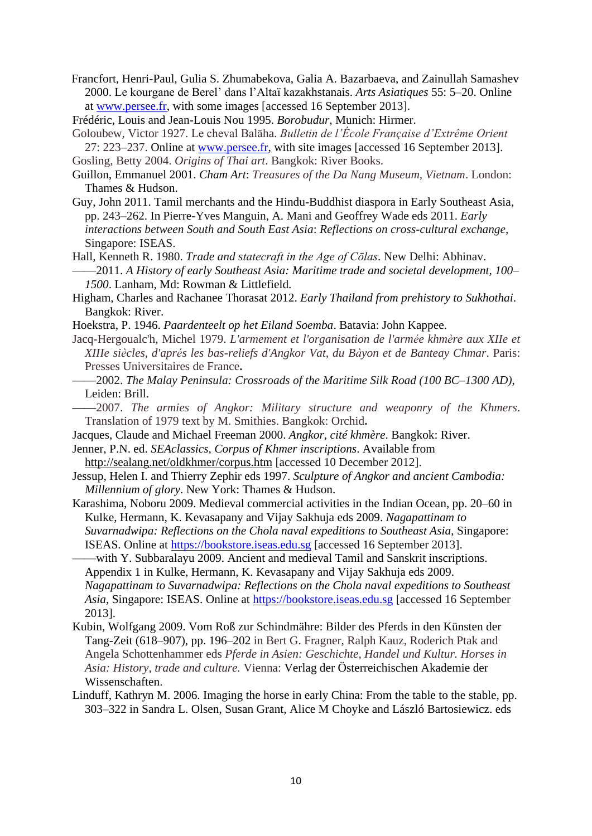- Francfort, Henri-Paul, Gulia S. Zhumabekova, Galia A. Bazarbaeva, and Zainullah Samashev 2000. Le kourgane de Berel' dans l'Altaï kazakhstanais. *Arts Asiatiques* 55: 5–20. Online at [www.persee.fr,](http://www.persee.fr/) with some images [accessed 16 September 2013].
- Frédéric, Louis and Jean-Louis Nou 1995. *Borobudur,* Munich: Hirmer.
- Goloubew, Victor 1927. Le cheval Balāha. *Bulletin de l'École Française d'Extrême Orient*  27: 223–237. Online at [www.persee.fr,](http://www.persee.fr/) with site images [accessed 16 September 2013].
- Gosling, Betty 2004. *Origins of Thai art*. Bangkok: River Books.
- Guillon, Emmanuel 2001. *Cham Art*: *Treasures of the Da Nang Museum, Vietnam*. London: Thames & Hudson.
- Guy, John 2011. Tamil merchants and the Hindu-Buddhist diaspora in Early Southeast Asia, pp. 243–262. In Pierre-Yves Manguin, A. Mani and Geoffrey Wade eds 2011. *Early interactions between South and South East Asia*: *Reflections on cross-cultural exchange*, Singapore: ISEAS.
- Hall, Kenneth R. 1980. *Trade and statecraft in the Age of Cōlas*. New Delhi: Abhinav.
- ——2011. *A History of early Southeast Asia: Maritime trade and societal development, 100– 1500*. Lanham, Md: Rowman & Littlefield.
- Higham, Charles and Rachanee Thorasat 2012. *Early Thailand from prehistory to Sukhothai*. Bangkok: River.
- Hoekstra, P. 1946. *Paardenteelt op het Eiland Soemba*. Batavia: John Kappee.
- Jacq-Hergoualc'h, Michel 1979. *L'armement et l'organisation de l'armée khmère aux XIIe et XIIIe siècles, d'aprés les bas-reliefs d'Angkor Vat, du Bàyon et de Banteay Chmar*. Paris: Presses Universitaires de France**.**
- ——2002. *The Malay Peninsula: Crossroads of the Maritime Silk Road (100 BC–1300 AD)*, Leiden: Brill.
- **——**2007. *The armies of Angkor: Military structure and weaponry of the Khmers*. Translation of 1979 text by M. Smithies. Bangkok: Orchid**.**
- Jacques, Claude and Michael Freeman 2000. *Angkor, cité khmère*. Bangkok: River.
- Jenner, P.N. ed. *SEAclassics, Corpus of Khmer inscriptions*. Available from
- [http://sealang.net/oldkhmer/corpus.htm](http://sealang.net/ok/corpus.htm) [accessed 10 December 2012]. Jessup, Helen I. and Thierry Zephir eds 1997. *Sculpture of Angkor and ancient Cambodia:*
- *Millennium of glory*. New York: Thames & Hudson.
- Karashima, Noboru 2009. Medieval commercial activities in the Indian Ocean, pp. 20–60 in Kulke, Hermann, K. Kevasapany and Vijay Sakhuja eds 2009. *Nagapattinam to Suvarnadwipa: Reflections on the Chola naval expeditions to Southeast Asia*, Singapore: ISEAS. Online at [https://bookstore.iseas.edu.sg](https://bookstore.iseas.edu.sg/) [accessed 16 September 2013].
- ——with Y. Subbaralayu 2009. Ancient and medieval Tamil and Sanskrit inscriptions. Appendix 1 in Kulke, Hermann, K. Kevasapany and Vijay Sakhuja eds 2009. *Nagapattinam to Suvarnadwipa: Reflections on the Chola naval expeditions to Southeast Asia*, Singapore: ISEAS. Online at [https://bookstore.iseas.edu.sg](https://bookstore.iseas.edu.sg/) [accessed 16 September 2013].
- Kubin, Wolfgang 2009. Vom Roß zur Schindmähre: Bilder des Pferds in den Künsten der Tang-Zeit (618–907), pp. 196–202 in Bert G. Fragner, Ralph Kauz, Roderich Ptak and Angela Schottenhammer eds *Pferde in Asien: Geschichte, Handel und Kultur. Horses in Asia: History, trade and culture.* Vienna: Verlag der Österreichischen Akademie der Wissenschaften.
- Linduff, Kathryn M. 2006. Imaging the horse in early China: From the table to the stable, pp. 303–322 in Sandra L. Olsen, Susan Grant, Alice M Choyke and László Bartosiewicz. eds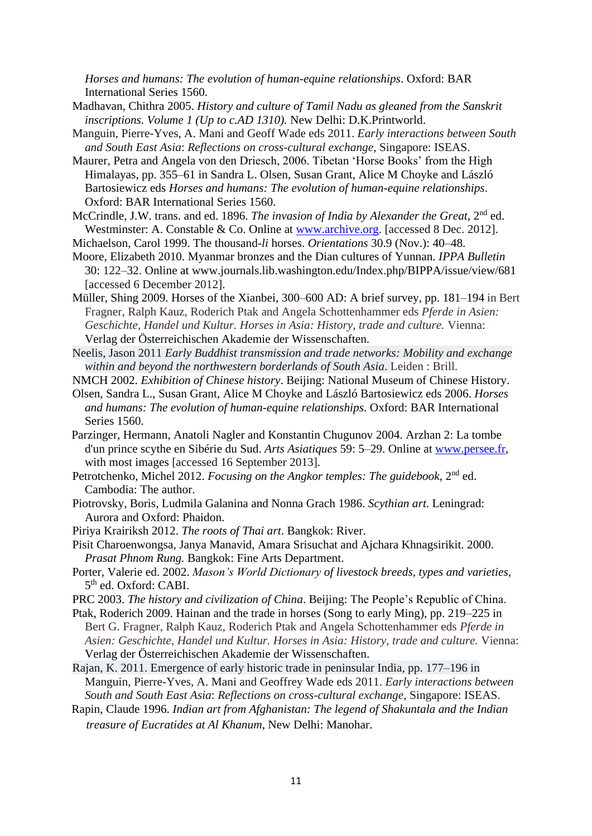*Horses and humans: The evolution of human-equine relationships*. Oxford: BAR International Series 1560.

- Madhavan, Chithra 2005. *History and culture of Tamil Nadu as gleaned from the Sanskrit inscriptions. Volume 1 (Up to c.AD 1310).* New Delhi: D.K.Printworld.
- Manguin, Pierre-Yves, A. Mani and Geoff Wade eds 2011. *Early interactions between South and South East Asia*: *Reflections on cross-cultural exchange*, Singapore: ISEAS.
- Maurer, Petra and Angela von den Driesch, 2006. Tibetan 'Horse Books' from the High Himalayas, pp. 355–61 in Sandra L. Olsen, Susan Grant, Alice M Choyke and László Bartosiewicz eds *Horses and humans: The evolution of human-equine relationships*. Oxford: BAR International Series 1560.
- McCrindle, J.W. trans. and ed. 1896. *The invasion of India by Alexander the Great*, 2<sup>nd</sup> ed. Westminster: A. Constable & Co. Online at [www.archive.org.](http://www.archive.org/) [accessed 8 Dec. 2012].
- Michaelson, Carol 1999. The thousand-*li* horses. *Orientations* 30.9 (Nov.): 40–48.
- Moore, Elizabeth 2010. Myanmar bronzes and the Dian cultures of Yunnan. *IPPA Bulletin*  30: 122–32. Online at www.journals.lib.washington.edu/Index.php/BIPPA/issue/view/681 [accessed 6 December 2012].
- Müller, Shing 2009. Horses of the Xianbei, 300–600 AD: A brief survey, pp. 181–194 in Bert Fragner, Ralph Kauz, Roderich Ptak and Angela Schottenhammer eds *Pferde in Asien: Geschichte, Handel und Kultur. Horses in Asia: History, trade and culture.* Vienna: Verlag der Österreichischen Akademie der Wissenschaften.
- Neelis, Jason 2011 *Early Buddhist transmission and trade networks: Mobility and exchange within and beyond the northwestern borderlands of South Asia*. Leiden : Brill.
- NMCH 2002. *Exhibition of Chinese history*. Beijing: National Museum of Chinese History.
- Olsen, Sandra L., Susan Grant, Alice M Choyke and László Bartosiewicz eds 2006. *Horses and humans: The evolution of human-equine relationships*. Oxford: BAR International Series 1560.
- Parzinger, Hermann, Anatoli Nagler and Konstantin Chugunov 2004. Arzhan 2: La tombe d'un prince scythe en Sibérie du Sud. *Arts Asiatiques* 59: 5–29. Online at [www.persee.fr,](http://www.persee.fr/) with most images [accessed 16 September 2013].
- Petrotchenko, Michel 2012. *Focusing on the Angkor temples: The guidebook*, 2nd ed. Cambodia: The author.
- Piotrovsky, Boris, Ludmila Galanina and Nonna Grach 1986. *Scythian art*. Leningrad: Aurora and Oxford: Phaidon.
- Piriya Krairiksh 2012. *The roots of Thai art*. Bangkok: River.
- Pisit Charoenwongsa, Janya Manavid, Amara Srisuchat and Ajchara Khnagsirikit. 2000. *Prasat Phnom Rung.* Bangkok: Fine Arts Department.
- Porter, Valerie ed. 2002. *Mason's World Dictionary of livestock breeds, types and varieties*, 5<sup>th</sup> ed. Oxford: CABI.
- PRC 2003. *The history and civilization of China*. Beijing: The People's Republic of China.
- Ptak, Roderich 2009. Hainan and the trade in horses (Song to early Ming), pp. 219–225 in Bert G. Fragner, Ralph Kauz, Roderich Ptak and Angela Schottenhammer eds *Pferde in Asien: Geschichte, Handel und Kultur. Horses in Asia: History, trade and culture.* Vienna: Verlag der Österreichischen Akademie der Wissenschaften.
- Rajan, K. 2011. Emergence of early historic trade in peninsular India, pp. 177–196 in Manguin, Pierre-Yves, A. Mani and Geoffrey Wade eds 2011. *Early interactions between South and South East Asia*: *Reflections on cross-cultural exchange*, Singapore: ISEAS.
- Rapin, Claude 1996. *Indian art from Afghanistan: The legend of Shakuntala and the Indian treasure of Eucratides at Al Khanum*, New Delhi: Manohar.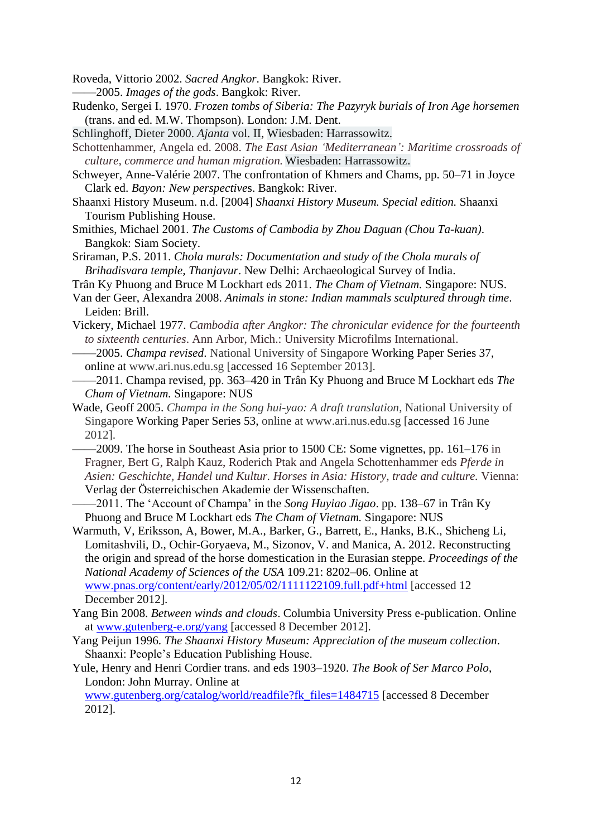Roveda, Vittorio 2002. *Sacred Angkor*. Bangkok: River.

- ——2005. *Images of the gods*. Bangkok: River.
- Rudenko, Sergei I. 1970. *Frozen tombs of Siberia: The Pazyryk burials of Iron Age horsemen* (trans. and ed. M.W. Thompson). London: J.M. Dent.
- Schlinghoff, Dieter 2000. *Ajanta* vol. II, Wiesbaden: Harrassowitz.
- Schottenhammer, Angela ed. 2008. *The East Asian 'Mediterranean': Maritime crossroads of culture, commerce and human migration.* Wiesbaden: Harrassowitz.
- Schweyer, Anne-Valérie 2007. The confrontation of Khmers and Chams, pp. 50–71 in Joyce Clark ed. *Bayon: New perspective*s. Bangkok: River.
- Shaanxi History Museum. n.d. [2004] *Shaanxi History Museum. Special edition.* Shaanxi Tourism Publishing House.
- Smithies, Michael 2001. *The Customs of Cambodia by Zhou Daguan (Chou Ta-kuan)*. Bangkok: Siam Society.
- Sriraman, P.S. 2011. *Chola murals: Documentation and study of the Chola murals of Brihadisvara temple, Thanjavur*. New Delhi: Archaeological Survey of India.
- Trân Ky Phuong and Bruce M Lockhart eds 2011. *The Cham of Vietnam.* Singapore: NUS.
- Van der Geer, Alexandra 2008. *Animals in stone: Indian mammals sculptured through time*. Leiden: Brill.
- Vickery, Michael 1977. *Cambodia after Angkor: The chronicular evidence for the fourteenth to sixteenth centuries*. Ann Arbor, Mich.: University Microfilms International.
- ——2005. *Champa revised*. National University of Singapore Working Paper Series 37, online at www.ari.nus.edu.sg [accessed 16 September 2013].
- ——2011. Champa revised, pp. 363–420 in Trân Ky Phuong and Bruce M Lockhart eds *The Cham of Vietnam.* Singapore: NUS
- Wade, Geoff 2005. *Champa in the Song hui-yao: A draft translation*, National University of Singapore Working Paper Series 53, online at www.ari.nus.edu.sg [accessed 16 June 2012].
	- ——2009. The horse in Southeast Asia prior to 1500 CE: Some vignettes, pp. 161–176 in Fragner, Bert G, Ralph Kauz, Roderich Ptak and Angela Schottenhammer eds *Pferde in Asien: Geschichte, Handel und Kultur. Horses in Asia: History, trade and culture.* Vienna: Verlag der Österreichischen Akademie der Wissenschaften.
- ——2011. The 'Account of Champa' in the *Song Huyiao Jigao*. pp. 138–67 in Trân Ky Phuong and Bruce M Lockhart eds *The Cham of Vietnam.* Singapore: NUS
- Warmuth, V, Eriksson, A, Bower, M.A., Barker, G., Barrett, E., Hanks, B.K., Shicheng Li, Lomitashvili, D., Ochir-Goryaeva, M., Sizonov, V. and Manica, A. 2012. Reconstructing the origin and spread of the horse domestication in the Eurasian steppe. *Proceedings of the National Academy of Sciences of the USA* 109.21: 8202–06. Online at [www.pnas.org/content/early/2012/05/02/1111122109.full.pdf+html](http://www.pnas.org/content/early/2012/05/02/1111122109.full.pdf+html) [accessed 12 December 2012].
- Yang Bin 2008. *Between winds and clouds*. Columbia University Press e-publication. Online at [www.gutenberg-e.org/yang](http://www.gutenberg-e.org/yang) [accessed 8 December 2012].
- Yang Peijun 1996. *The Shaanxi History Museum: Appreciation of the museum collection*. Shaanxi: People's Education Publishing House.
- Yule, Henry and Henri Cordier trans. and eds 1903–1920. *The Book of Ser Marco Polo*, London: John Murray. Online at

[www.gutenberg.org/catalog/world/readfile?fk\\_files=1484715](http://www.gutenberg.org/catalog/world/readfile?fk_files=1484715) [accessed 8 December 2012].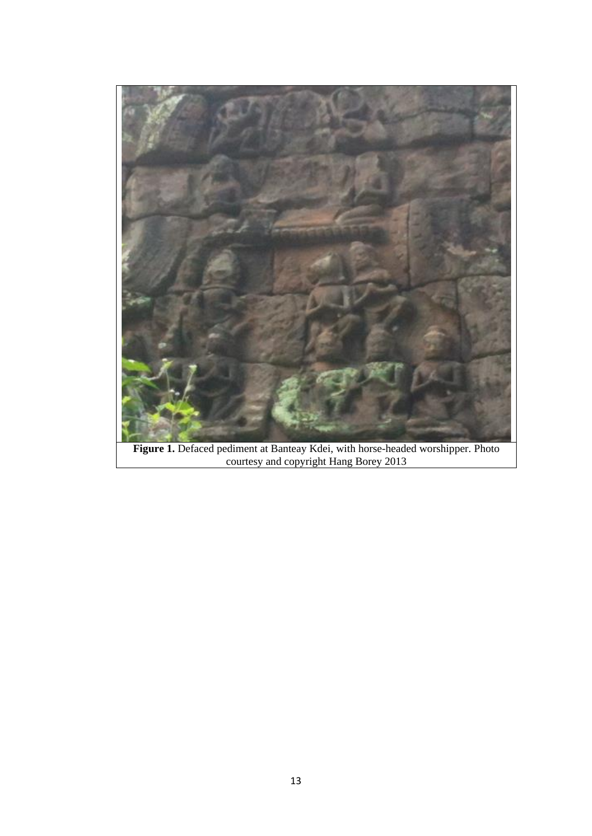

**Figure 1.** Defaced pediment at Banteay Kdei, with horse-headed worshipper. Photo courtesy and copyright Hang Borey 2013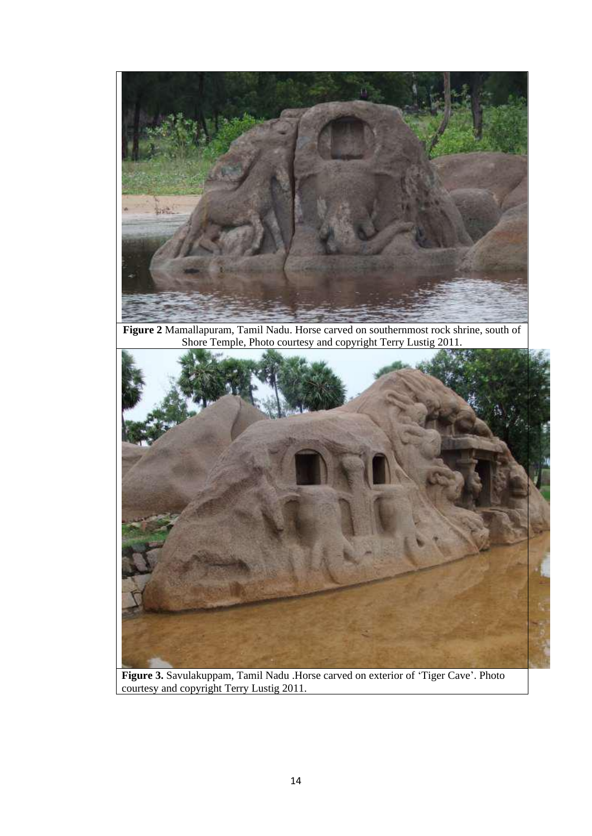

**Figure 2** Mamallapuram, Tamil Nadu. Horse carved on southernmost rock shrine, south of Shore Temple, Photo courtesy and copyright Terry Lustig 2011.



**Figure 3.** Savulakuppam, Tamil Nadu .Horse carved on exterior of 'Tiger Cave'. Photo courtesy and copyright Terry Lustig 2011.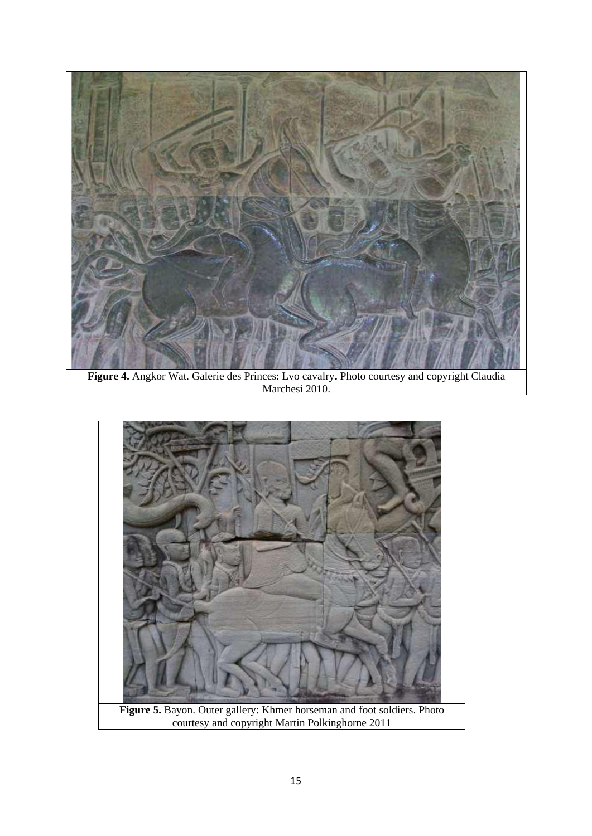

**Figure 4.** Angkor Wat. Galerie des Princes: Lvo cavalry**.** Photo courtesy and copyright Claudia Marchesi 2010.